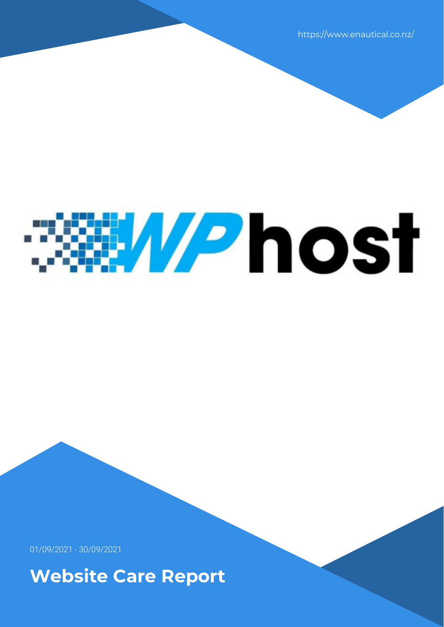https://www.enautical.co.nz/

# *<u>EXHIPhost</u>*

01/09/2021 - 30/09/2021

**Website Care Report**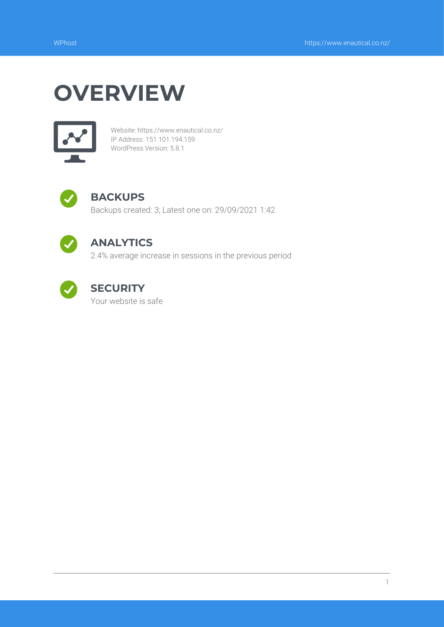## **OVERVIEW**



Website: https://www.enautical.co.nz/ IP Address: 151.101.194.159 WordPress Version: 5.8.1



### **BACKUPS**

Backups created: 3; Latest one on: 29/09/2021 1:42



## **ANALYTICS**

2.4% average increase in sessions in the previous period



## **SECURITY**

Your website is safe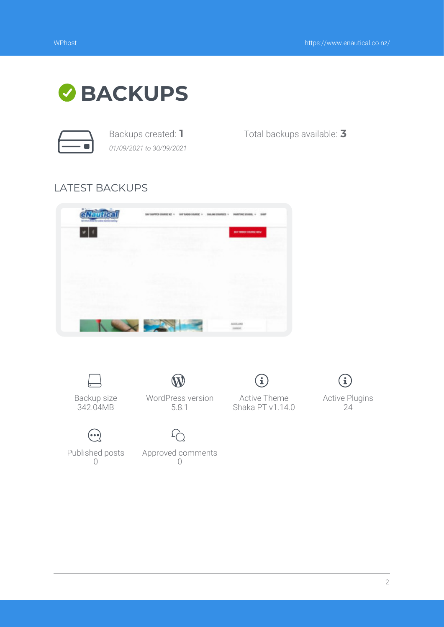

*01/09/2021 to 30/09/2021*

Backups created: **1** Total backups available: **3**

### LATEST BACKUPS







Active Plugins 24

Published posts  $\bigcap$ 

 $\odot$ 

Approved comments  $\bigcap$ 

 $\Omega$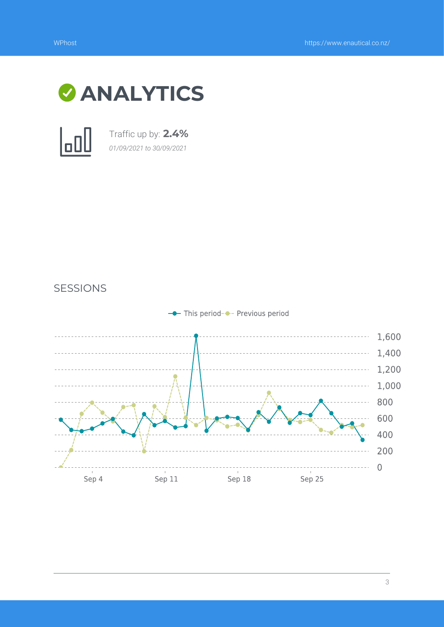



Traffic up by: **2.4%** *01/09/2021 to 30/09/2021*



SESSIONS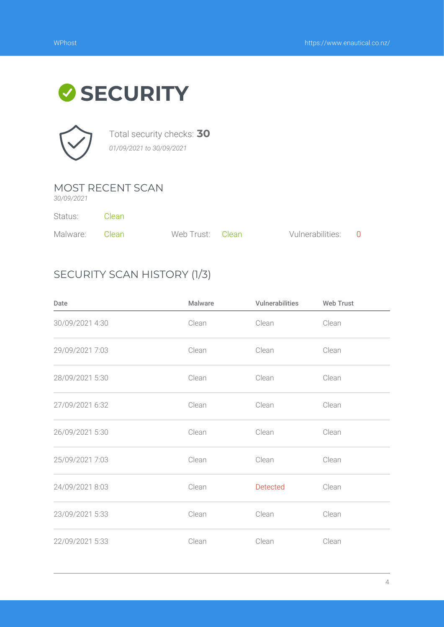# **SECURITY**



Total security checks: **30** *01/09/2021 to 30/09/2021*

### MOST RECENT SCAN

*30/09/2021*

Status: Clean

| Malware: Clean | Web Trust: Clean | Vulnerabilities: 0 |  |
|----------------|------------------|--------------------|--|

## SECURITY SCAN HISTORY (1/3)

| Date            | <b>Malware</b> | Vulnerabilities | <b>Web Trust</b> |
|-----------------|----------------|-----------------|------------------|
| 30/09/2021 4:30 | Clean          | Clean           | Clean            |
| 29/09/2021 7:03 | Clean          | Clean           | Clean            |
| 28/09/2021 5:30 | Clean          | Clean           | Clean            |
| 27/09/2021 6:32 | Clean          | Clean           | Clean            |
| 26/09/2021 5:30 | Clean          | Clean           | Clean            |
| 25/09/2021 7:03 | Clean          | Clean           | Clean            |
| 24/09/2021 8:03 | Clean          | Detected        | Clean            |
| 23/09/2021 5:33 | Clean          | Clean           | Clean            |
| 22/09/2021 5:33 | Clean          | Clean           | Clean            |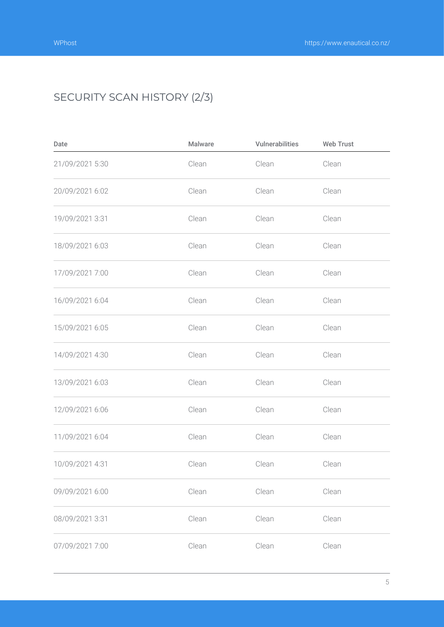## SECURITY SCAN HISTORY (2/3)

| Date            | Malware | Vulnerabilities | <b>Web Trust</b> |
|-----------------|---------|-----------------|------------------|
| 21/09/2021 5:30 | Clean   | Clean           | Clean            |
| 20/09/2021 6:02 | Clean   | Clean           | Clean            |
| 19/09/2021 3:31 | Clean   | Clean           | Clean            |
| 18/09/2021 6:03 | Clean   | Clean           | Clean            |
| 17/09/2021 7:00 | Clean   | Clean           | Clean            |
| 16/09/2021 6:04 | Clean   | Clean           | Clean            |
| 15/09/2021 6:05 | Clean   | Clean           | Clean            |
| 14/09/2021 4:30 | Clean   | Clean           | Clean            |
| 13/09/2021 6:03 | Clean   | Clean           | Clean            |
| 12/09/2021 6:06 | Clean   | Clean           | Clean            |
| 11/09/2021 6:04 | Clean   | Clean           | Clean            |
| 10/09/2021 4:31 | Clean   | Clean           | Clean            |
| 09/09/2021 6:00 | Clean   | Clean           | Clean            |
| 08/09/2021 3:31 | Clean   | Clean           | Clean            |
| 07/09/2021 7:00 | Clean   | Clean           | Clean            |